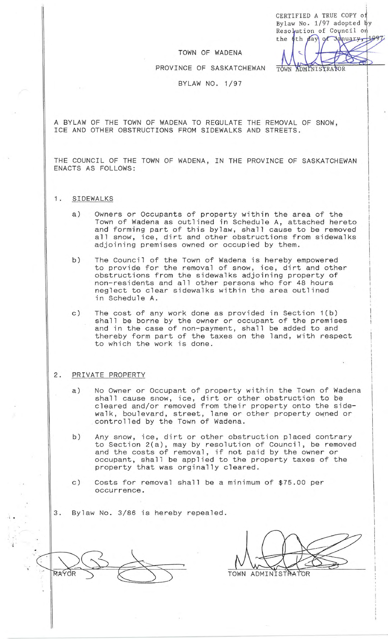CERTIFIED A TRUE COPY o Bylaw No. 1/97 adopted by Resolution of Council on the 6th

## TOWN OF WADENA

PROVINCE OF SASKATCHEWAN

TOWN ADMINISTRATOR

BYLAW NO. 1/97

A BYLAW OF THE TOWN OF WADENA TO REGULATE THE REMOVAL OF SNOW, ICE AND OTHER OBSTRUCTIONS FROM SIDEWALKS AND STREETS.

THE COUNCIL OF THE TOWN OF WADENA, IN THE PROVINCE OF SASKATCHEWAN ENACTS AS FOLLOWS:

- 1. SIDEWALKS
	- a) Owners or Occupants of property within the area of the Town of Wadena as outlined in Schedule A, attached hereto and forming part of this bylaw, shall cause to be removed all snow, ice, dirt and other obstructions from sidewalks adjoining premises owned or occupied by them.
	- b) The Council of the Town of Wadena is hereby empowered to provide for the removal of snow, ice, dirt and other obstructions from the sidewalks adjoining property of non-residents and all other persons who for 48 hours neglect to clear sidewalks within the area outlined in Schedule A.
	- c) The cost of any work done as provided in Section 1(b) shall be borne by the owner or occupant of the premises and in the case of non-payment, shall be added to and thereby form part of the taxes on the land, with respect to which the work is done.

## 2. PRIVATE PROPERTY

- a) No Owner or Occupant of property within the Town of Wadena shall cause snow, ice, dirt or other obstruction to be cleared and/or removed from their property onto the sidewalk, boulevard, street, lane or other property owned or controlled by the Town of Wadena.
- b) Any snow, ice, dirt or other obstruction placed contrary to Section 2(a), may by resolution of Council, be removed and the costs of removal, if not paid by the owner or occupant, shall be applied to the property taxes of the property that was orginally cleared.
- c) Costs for removal shall be a minimum of \$75.00 per occurrence.
- 3. Bylaw No. 3/86 is hereby repealed .

MAYOI

 $\ddot{\cdot}$  .

TOWN ADMINISTRATOR